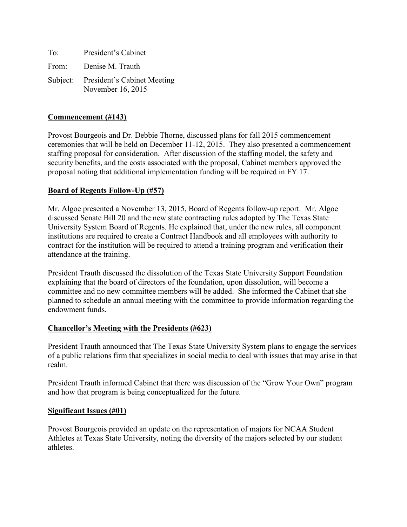| To:   | President's Cabinet                                       |
|-------|-----------------------------------------------------------|
| From: | Denise M. Trauth                                          |
|       | Subject: President's Cabinet Meeting<br>November 16, 2015 |

### **Commencement (#143)**

Provost Bourgeois and Dr. Debbie Thorne, discussed plans for fall 2015 commencement ceremonies that will be held on December 11-12, 2015. They also presented a commencement staffing proposal for consideration. After discussion of the staffing model, the safety and security benefits, and the costs associated with the proposal, Cabinet members approved the proposal noting that additional implementation funding will be required in FY 17.

### **Board of Regents Follow-Up (#57)**

Mr. Algoe presented a November 13, 2015, Board of Regents follow-up report. Mr. Algoe discussed Senate Bill 20 and the new state contracting rules adopted by The Texas State University System Board of Regents. He explained that, under the new rules, all component institutions are required to create a Contract Handbook and all employees with authority to contract for the institution will be required to attend a training program and verification their attendance at the training.

President Trauth discussed the dissolution of the Texas State University Support Foundation explaining that the board of directors of the foundation, upon dissolution, will become a committee and no new committee members will be added. She informed the Cabinet that she planned to schedule an annual meeting with the committee to provide information regarding the endowment funds.

#### **Chancellor's Meeting with the Presidents (#623)**

President Trauth announced that The Texas State University System plans to engage the services of a public relations firm that specializes in social media to deal with issues that may arise in that realm.

President Trauth informed Cabinet that there was discussion of the "Grow Your Own" program and how that program is being conceptualized for the future.

#### **Significant Issues (#01)**

Provost Bourgeois provided an update on the representation of majors for NCAA Student Athletes at Texas State University, noting the diversity of the majors selected by our student athletes.